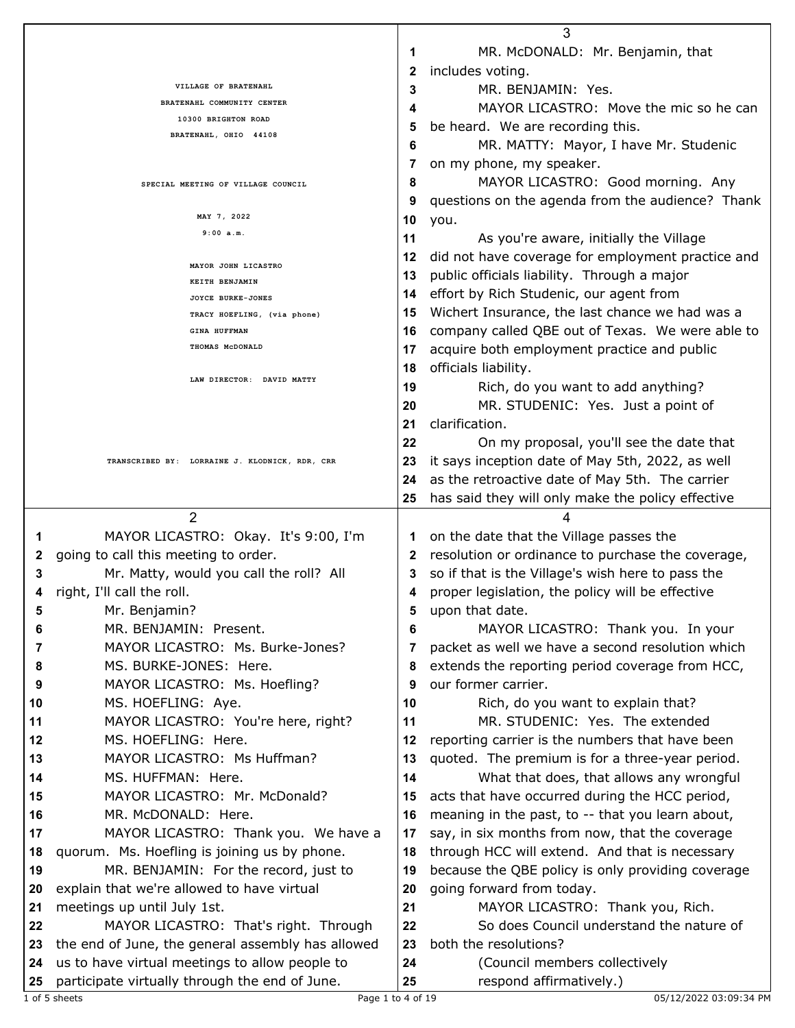|                                                   |                                                                                                  | 3        |                                                          |  |  |
|---------------------------------------------------|--------------------------------------------------------------------------------------------------|----------|----------------------------------------------------------|--|--|
|                                                   |                                                                                                  | 1        | MR. McDONALD: Mr. Benjamin, that                         |  |  |
|                                                   |                                                                                                  |          | includes voting.<br>2                                    |  |  |
|                                                   | VILLAGE OF BRATENAHL                                                                             | 3        | MR. BENJAMIN: Yes.                                       |  |  |
|                                                   | BRATENAHL COMMUNITY CENTER                                                                       | 4        | MAYOR LICASTRO: Move the mic so he can                   |  |  |
| 10300 BRIGHTON ROAD<br>BRATENAHL, OHIO 44108      |                                                                                                  | 5        | be heard. We are recording this.                         |  |  |
|                                                   |                                                                                                  | 6        | MR. MATTY: Mayor, I have Mr. Studenic                    |  |  |
|                                                   |                                                                                                  | 7        | on my phone, my speaker.                                 |  |  |
|                                                   |                                                                                                  | 8        | MAYOR LICASTRO: Good morning. Any                        |  |  |
| SPECIAL MEETING OF VILLAGE COUNCIL<br>MAY 7, 2022 |                                                                                                  |          |                                                          |  |  |
|                                                   |                                                                                                  | 9        | questions on the agenda from the audience? Thank         |  |  |
|                                                   | 9:00 a.m.                                                                                        | 10<br>11 | you.                                                     |  |  |
|                                                   |                                                                                                  |          | As you're aware, initially the Village                   |  |  |
|                                                   | MAYOR JOHN LICASTRO                                                                              | 12       | did not have coverage for employment practice and        |  |  |
|                                                   | KEITH BENJAMIN                                                                                   | 13       | public officials liability. Through a major              |  |  |
|                                                   | JOYCE BURKE-JONES                                                                                | 14       | effort by Rich Studenic, our agent from                  |  |  |
|                                                   | TRACY HOEFLING, (via phone)                                                                      | 15       | Wichert Insurance, the last chance we had was a          |  |  |
|                                                   | <b>GINA HUFFMAN</b>                                                                              | 16       | company called QBE out of Texas. We were able to         |  |  |
|                                                   | THOMAS MCDONALD                                                                                  | 17       | acquire both employment practice and public              |  |  |
|                                                   |                                                                                                  | 18       | officials liability.                                     |  |  |
|                                                   | LAW DIRECTOR: DAVID MATTY                                                                        | 19       | Rich, do you want to add anything?                       |  |  |
|                                                   |                                                                                                  | 20       | MR. STUDENIC: Yes. Just a point of                       |  |  |
|                                                   |                                                                                                  | 21       | clarification.                                           |  |  |
|                                                   |                                                                                                  | 22       | On my proposal, you'll see the date that                 |  |  |
|                                                   | TRANSCRIBED BY: LORRAINE J. KLODNICK, RDR, CRR                                                   | 23       | it says inception date of May 5th, 2022, as well         |  |  |
|                                                   |                                                                                                  | 24       | as the retroactive date of May 5th. The carrier          |  |  |
|                                                   |                                                                                                  |          |                                                          |  |  |
|                                                   |                                                                                                  | 25       | has said they will only make the policy effective        |  |  |
|                                                   |                                                                                                  |          |                                                          |  |  |
|                                                   | $\overline{2}$                                                                                   |          | 4                                                        |  |  |
| 1                                                 | MAYOR LICASTRO: Okay. It's 9:00, I'm                                                             | 1        | on the date that the Village passes the                  |  |  |
| 2                                                 | going to call this meeting to order.                                                             | 2        | resolution or ordinance to purchase the coverage,        |  |  |
| 3                                                 | Mr. Matty, would you call the roll? All                                                          | 3        | so if that is the Village's wish here to pass the        |  |  |
| 4                                                 | right, I'll call the roll.                                                                       | 4        | proper legislation, the policy will be effective         |  |  |
| 5                                                 | Mr. Benjamin?                                                                                    | 5        | upon that date.                                          |  |  |
| 6                                                 | MR. BENJAMIN: Present.                                                                           | 6        | MAYOR LICASTRO: Thank you. In your                       |  |  |
| 7                                                 | MAYOR LICASTRO: Ms. Burke-Jones?                                                                 |          | packet as well we have a second resolution which         |  |  |
| 8                                                 | MS. BURKE-JONES: Here.                                                                           | 8        | extends the reporting period coverage from HCC,          |  |  |
| 9                                                 | MAYOR LICASTRO: Ms. Hoefling?                                                                    | 9        | our former carrier.                                      |  |  |
| 10                                                | MS. HOEFLING: Aye.                                                                               | 10       | Rich, do you want to explain that?                       |  |  |
| 11                                                | MAYOR LICASTRO: You're here, right?                                                              | 11       | MR. STUDENIC: Yes. The extended                          |  |  |
| 12                                                | MS. HOEFLING: Here.                                                                              | 12       | reporting carrier is the numbers that have been          |  |  |
| 13                                                | MAYOR LICASTRO: Ms Huffman?                                                                      | 13       | quoted. The premium is for a three-year period.          |  |  |
| 14                                                | MS. HUFFMAN: Here.                                                                               | 14       | What that does, that allows any wrongful                 |  |  |
| 15                                                | MAYOR LICASTRO: Mr. McDonald?                                                                    | 15       |                                                          |  |  |
| 16                                                | MR. McDONALD: Here.                                                                              | 16       | acts that have occurred during the HCC period,           |  |  |
|                                                   |                                                                                                  |          | meaning in the past, to -- that you learn about,         |  |  |
| 17                                                | MAYOR LICASTRO: Thank you. We have a                                                             | 17       | say, in six months from now, that the coverage           |  |  |
| 18                                                | quorum. Ms. Hoefling is joining us by phone.                                                     | 18       | through HCC will extend. And that is necessary           |  |  |
| 19                                                | MR. BENJAMIN: For the record, just to                                                            | 19       | because the QBE policy is only providing coverage        |  |  |
| 20                                                | explain that we're allowed to have virtual                                                       | 20       | going forward from today.                                |  |  |
| 21                                                | meetings up until July 1st.                                                                      | 21       | MAYOR LICASTRO: Thank you, Rich.                         |  |  |
| 22                                                | MAYOR LICASTRO: That's right. Through                                                            | 22       | So does Council understand the nature of                 |  |  |
| 23                                                | the end of June, the general assembly has allowed                                                | 23       | both the resolutions?                                    |  |  |
| 24<br>25                                          | us to have virtual meetings to allow people to<br>participate virtually through the end of June. | 24<br>25 | (Council members collectively<br>respond affirmatively.) |  |  |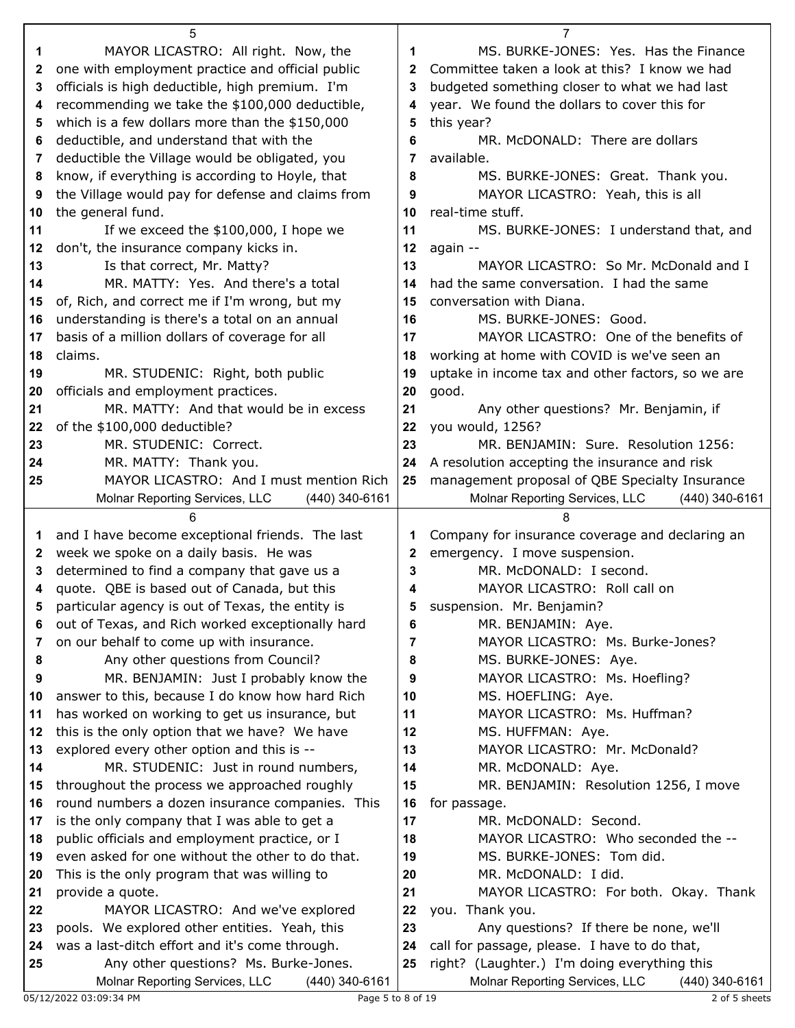|          | 5                                                                                                  |          | 7                                                                |
|----------|----------------------------------------------------------------------------------------------------|----------|------------------------------------------------------------------|
| 1        | MAYOR LICASTRO: All right. Now, the                                                                | 1        | MS. BURKE-JONES: Yes. Has the Finance                            |
| 2        | one with employment practice and official public                                                   | 2        | Committee taken a look at this? I know we had                    |
| 3        | officials is high deductible, high premium. I'm                                                    | 3        | budgeted something closer to what we had last                    |
| 4        | recommending we take the \$100,000 deductible,                                                     | 4        | year. We found the dollars to cover this for                     |
| 5        | which is a few dollars more than the \$150,000                                                     | 5        | this year?                                                       |
| 6        | deductible, and understand that with the                                                           | 6        | MR. McDONALD: There are dollars                                  |
| 7        | deductible the Village would be obligated, you                                                     | 7        | available.                                                       |
| 8        | know, if everything is according to Hoyle, that                                                    | 8        | MS. BURKE-JONES: Great. Thank you.                               |
| 9        | the Village would pay for defense and claims from                                                  | 9        | MAYOR LICASTRO: Yeah, this is all                                |
| 10       | the general fund.                                                                                  | 10       | real-time stuff.                                                 |
| 11       | If we exceed the \$100,000, I hope we                                                              | 11       | MS. BURKE-JONES: I understand that, and                          |
| 12       | don't, the insurance company kicks in.                                                             | 12       | again --                                                         |
| 13       | Is that correct, Mr. Matty?                                                                        | 13       | MAYOR LICASTRO: So Mr. McDonald and I                            |
| 14       | MR. MATTY: Yes. And there's a total                                                                | 14       | had the same conversation. I had the same                        |
| 15       | of, Rich, and correct me if I'm wrong, but my                                                      | 15       | conversation with Diana.                                         |
| 16       | understanding is there's a total on an annual                                                      | 16       | MS. BURKE-JONES: Good.                                           |
| 17       | basis of a million dollars of coverage for all                                                     | 17       | MAYOR LICASTRO: One of the benefits of                           |
| 18       | claims.                                                                                            | 18       | working at home with COVID is we've seen an                      |
| 19       | MR. STUDENIC: Right, both public                                                                   | 19       | uptake in income tax and other factors, so we are                |
| 20       | officials and employment practices.                                                                | 20       | good.                                                            |
| 21       | MR. MATTY: And that would be in excess                                                             | 21       | Any other questions? Mr. Benjamin, if                            |
| 22       | of the \$100,000 deductible?                                                                       | 22       | you would, 1256?                                                 |
| 23       | MR. STUDENIC: Correct.                                                                             | 23       | MR. BENJAMIN: Sure. Resolution 1256:                             |
| 24       | MR. MATTY: Thank you.                                                                              | 24       | A resolution accepting the insurance and risk                    |
| 25       | MAYOR LICASTRO: And I must mention Rich                                                            | 25       | management proposal of QBE Specialty Insurance                   |
|          | Molnar Reporting Services, LLC<br>(440) 340-6161                                                   |          | Molnar Reporting Services, LLC<br>$(440)$ 340-6161               |
|          |                                                                                                    |          |                                                                  |
|          | 6                                                                                                  |          | 8                                                                |
| 1        | and I have become exceptional friends. The last                                                    | 1        | Company for insurance coverage and declaring an                  |
| 2        | week we spoke on a daily basis. He was                                                             | 2        | emergency. I move suspension.                                    |
| 3        | determined to find a company that gave us a                                                        | 3        | MR. McDONALD: I second.                                          |
| 4        | quote. QBE is based out of Canada, but this                                                        | 4        | MAYOR LICASTRO: Roll call on                                     |
| 5        | particular agency is out of Texas, the entity is                                                   |          | suspension. Mr. Benjamin?                                        |
| 6        | out of Texas, and Rich worked exceptionally hard                                                   | 6        | MR. BENJAMIN: Aye.                                               |
| 7        | on our behalf to come up with insurance.                                                           | 7        | MAYOR LICASTRO: Ms. Burke-Jones?                                 |
| 8        | Any other questions from Council?                                                                  | 8        | MS. BURKE-JONES: Aye.                                            |
| 9        | MR. BENJAMIN: Just I probably know the                                                             | 9        | MAYOR LICASTRO: Ms. Hoefling?                                    |
| 10       | answer to this, because I do know how hard Rich                                                    | 10       | MS. HOEFLING: Aye.                                               |
| 11       | has worked on working to get us insurance, but                                                     | 11       | MAYOR LICASTRO: Ms. Huffman?                                     |
| 12       | this is the only option that we have? We have                                                      | 12       | MS. HUFFMAN: Aye.                                                |
| 13       | explored every other option and this is --                                                         | 13       | MAYOR LICASTRO: Mr. McDonald?                                    |
| 14       | MR. STUDENIC: Just in round numbers,                                                               | 14       | MR. McDONALD: Aye.                                               |
| 15       | throughout the process we approached roughly                                                       | 15       | MR. BENJAMIN: Resolution 1256, I move                            |
| 16       | round numbers a dozen insurance companies. This                                                    | 16       | for passage.                                                     |
| 17       | is the only company that I was able to get a                                                       | 17       | MR. McDONALD: Second.                                            |
| 18<br>19 | public officials and employment practice, or I<br>even asked for one without the other to do that. | 18<br>19 | MAYOR LICASTRO: Who seconded the --<br>MS. BURKE-JONES: Tom did. |
| 20       |                                                                                                    | 20       | MR. McDONALD: I did.                                             |
| 21       | This is the only program that was willing to<br>provide a quote.                                   | 21       | MAYOR LICASTRO: For both. Okay. Thank                            |
| 22       | MAYOR LICASTRO: And we've explored                                                                 | 22       | you. Thank you.                                                  |
| 23       | pools. We explored other entities. Yeah, this                                                      | 23       | Any questions? If there be none, we'll                           |
| 24       | was a last-ditch effort and it's come through.                                                     | 24       | call for passage, please. I have to do that,                     |
| 25       | Any other questions? Ms. Burke-Jones.                                                              | 25       | right? (Laughter.) I'm doing everything this                     |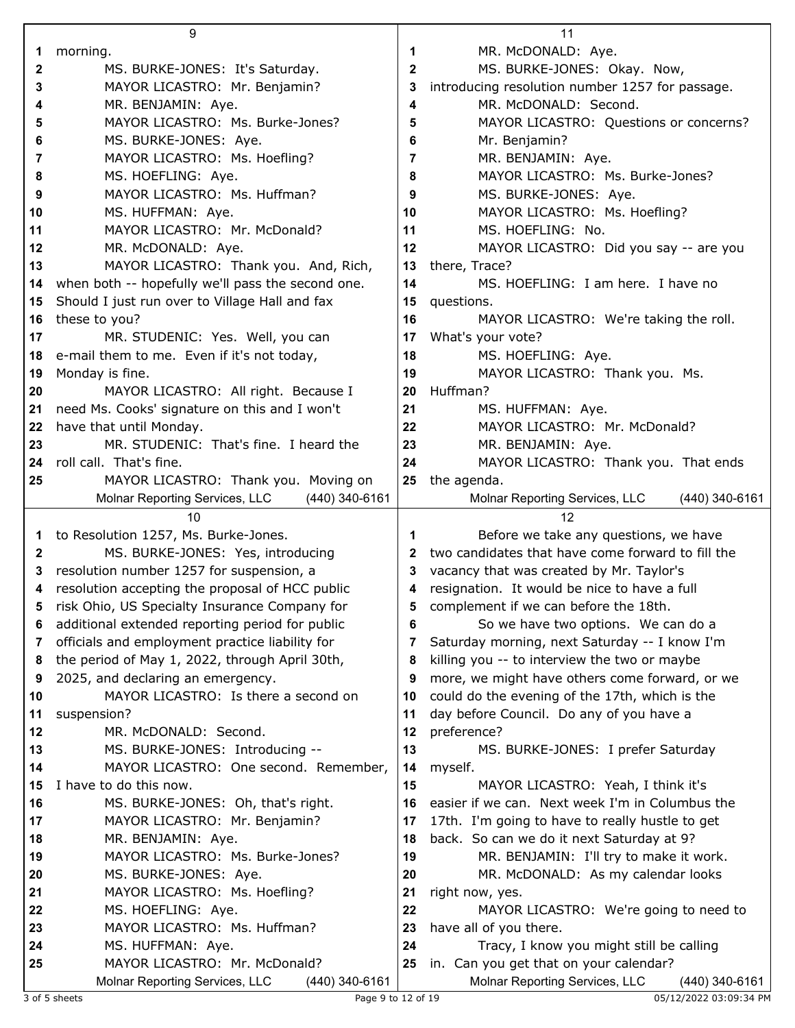|         | 9                                                                                 |    | 11                                                                       |
|---------|-----------------------------------------------------------------------------------|----|--------------------------------------------------------------------------|
| 1       | morning.                                                                          | 1  | MR. McDONALD: Aye.                                                       |
| 2       | MS. BURKE-JONES: It's Saturday.                                                   | 2  | MS. BURKE-JONES: Okay. Now,                                              |
| 3       | MAYOR LICASTRO: Mr. Benjamin?                                                     | 3  | introducing resolution number 1257 for passage.                          |
| 4       | MR. BENJAMIN: Aye.                                                                | 4  | MR. McDONALD: Second.                                                    |
| 5       | MAYOR LICASTRO: Ms. Burke-Jones?                                                  | 5  | MAYOR LICASTRO: Questions or concerns?                                   |
| 6       | MS. BURKE-JONES: Aye.                                                             | 6  | Mr. Benjamin?                                                            |
| 7       | MAYOR LICASTRO: Ms. Hoefling?                                                     | 7  | MR. BENJAMIN: Aye.                                                       |
| 8       | MS. HOEFLING: Aye.                                                                | 8  | MAYOR LICASTRO: Ms. Burke-Jones?                                         |
| 9       | MAYOR LICASTRO: Ms. Huffman?                                                      | 9  | MS. BURKE-JONES: Aye.                                                    |
|         |                                                                                   |    |                                                                          |
| 10      | MS. HUFFMAN: Aye.                                                                 | 10 | MAYOR LICASTRO: Ms. Hoefling?<br>MS. HOEFLING: No.                       |
| 11      | MAYOR LICASTRO: Mr. McDonald?                                                     | 11 |                                                                          |
| $12 \,$ | MR. McDONALD: Aye.                                                                | 12 | MAYOR LICASTRO: Did you say -- are you                                   |
| 13      | MAYOR LICASTRO: Thank you. And, Rich,                                             | 13 | there, Trace?                                                            |
| 14      | when both -- hopefully we'll pass the second one.                                 | 14 | MS. HOEFLING: I am here. I have no                                       |
| 15      | Should I just run over to Village Hall and fax                                    | 15 | questions.                                                               |
| 16      | these to you?                                                                     | 16 | MAYOR LICASTRO: We're taking the roll.                                   |
| 17      | MR. STUDENIC: Yes. Well, you can                                                  | 17 | What's your vote?                                                        |
| 18      | e-mail them to me. Even if it's not today,                                        | 18 | MS. HOEFLING: Aye.                                                       |
| 19      | Monday is fine.                                                                   | 19 | MAYOR LICASTRO: Thank you. Ms.                                           |
| 20      | MAYOR LICASTRO: All right. Because I                                              | 20 | Huffman?                                                                 |
| 21      | need Ms. Cooks' signature on this and I won't                                     | 21 | MS. HUFFMAN: Aye.                                                        |
| 22      | have that until Monday.                                                           | 22 | MAYOR LICASTRO: Mr. McDonald?                                            |
| 23      | MR. STUDENIC: That's fine. I heard the                                            | 23 | MR. BENJAMIN: Aye.                                                       |
| 24      | roll call. That's fine.                                                           | 24 | MAYOR LICASTRO: Thank you. That ends                                     |
| 25      | MAYOR LICASTRO: Thank you. Moving on                                              | 25 | the agenda.                                                              |
|         | (440) 340-6161<br>Molnar Reporting Services, LLC                                  |    | Molnar Reporting Services, LLC<br>(440) 340-6161                         |
|         |                                                                                   |    |                                                                          |
|         | 10                                                                                |    | 12                                                                       |
| 1       | to Resolution 1257, Ms. Burke-Jones.                                              | 1  | Before we take any questions, we have                                    |
| 2       | MS. BURKE-JONES: Yes, introducing                                                 | 2  | two candidates that have come forward to fill the                        |
| 3       | resolution number 1257 for suspension, a                                          | 3  | vacancy that was created by Mr. Taylor's                                 |
| 4       | resolution accepting the proposal of HCC public                                   | 4  | resignation. It would be nice to have a full                             |
|         | risk Ohio, US Specialty Insurance Company for                                     |    | complement if we can before the 18th.                                    |
| 6       | additional extended reporting period for public                                   | 6  | So we have two options. We can do a                                      |
| 7       | officials and employment practice liability for                                   | 7  | Saturday morning, next Saturday -- I know I'm                            |
| 8       | the period of May 1, 2022, through April 30th,                                    | 8  | killing you -- to interview the two or maybe                             |
| 9       | 2025, and declaring an emergency.                                                 | 9  | more, we might have others come forward, or we                           |
| 10      | MAYOR LICASTRO: Is there a second on                                              | 10 | could do the evening of the 17th, which is the                           |
| 11      | suspension?                                                                       | 11 | day before Council. Do any of you have a                                 |
| 12      | MR. McDONALD: Second.                                                             | 12 | preference?                                                              |
| 13      | MS. BURKE-JONES: Introducing --                                                   | 13 | MS. BURKE-JONES: I prefer Saturday                                       |
| 14      | MAYOR LICASTRO: One second. Remember,                                             | 14 | myself.                                                                  |
| 15      | I have to do this now.                                                            | 15 | MAYOR LICASTRO: Yeah, I think it's                                       |
| 16      | MS. BURKE-JONES: Oh, that's right.                                                | 16 | easier if we can. Next week I'm in Columbus the                          |
| 17      | MAYOR LICASTRO: Mr. Benjamin?                                                     | 17 | 17th. I'm going to have to really hustle to get                          |
| 18      | MR. BENJAMIN: Aye.                                                                | 18 | back. So can we do it next Saturday at 9?                                |
| 19      | MAYOR LICASTRO: Ms. Burke-Jones?                                                  | 19 | MR. BENJAMIN: I'll try to make it work.                                  |
| 20      | MS. BURKE-JONES: Aye.                                                             | 20 | MR. McDONALD: As my calendar looks                                       |
| 21      | MAYOR LICASTRO: Ms. Hoefling?                                                     | 21 | right now, yes.                                                          |
| 22      | MS. HOEFLING: Aye.                                                                | 22 | MAYOR LICASTRO: We're going to need to                                   |
| 23      | MAYOR LICASTRO: Ms. Huffman?                                                      | 23 | have all of you there.                                                   |
| 24      | MS. HUFFMAN: Aye.                                                                 | 24 | Tracy, I know you might still be calling                                 |
| 25      | MAYOR LICASTRO: Mr. McDonald?<br>Molnar Reporting Services, LLC<br>(440) 340-6161 | 25 | in. Can you get that on your calendar?<br>Molnar Reporting Services, LLC |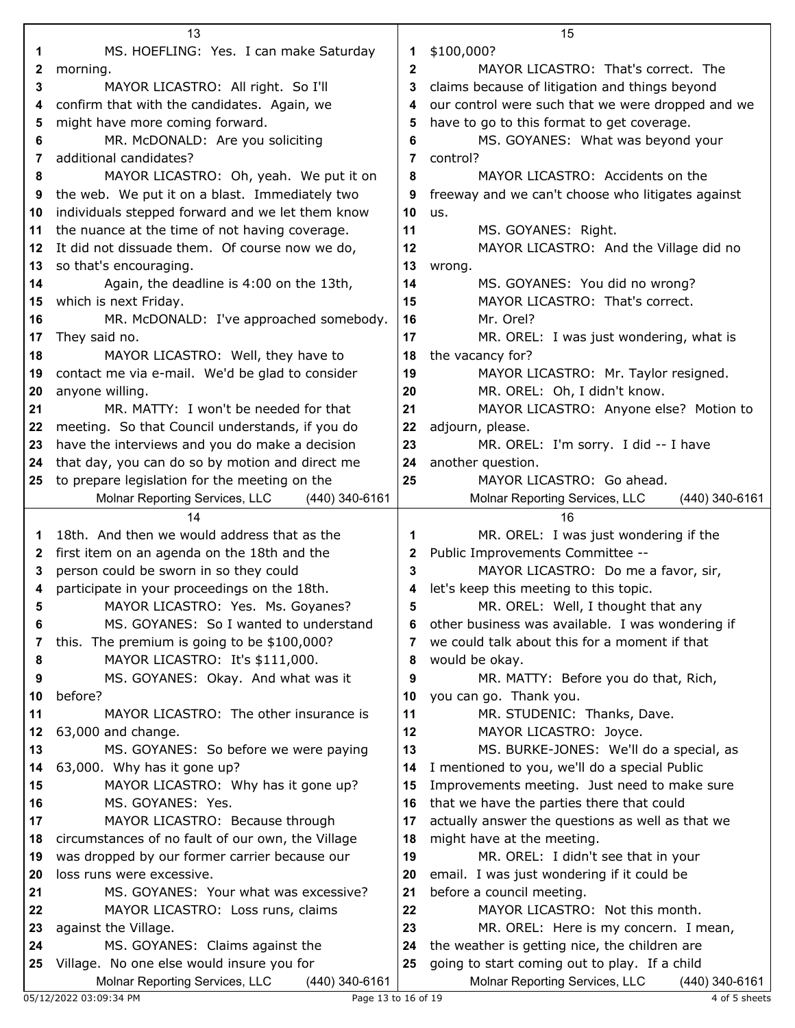|    | 13                                                                                       |              | 15                                                |
|----|------------------------------------------------------------------------------------------|--------------|---------------------------------------------------|
| 1  | MS. HOEFLING: Yes. I can make Saturday                                                   | 1            | \$100,000?                                        |
| 2  | morning.                                                                                 | $\mathbf{2}$ | MAYOR LICASTRO: That's correct. The               |
| 3  | MAYOR LICASTRO: All right. So I'll                                                       | 3            | claims because of litigation and things beyond    |
| 4  | confirm that with the candidates. Again, we                                              | 4            | our control were such that we were dropped and we |
| 5  | might have more coming forward.                                                          | 5            | have to go to this format to get coverage.        |
| 6  | MR. McDONALD: Are you soliciting                                                         | 6            | MS. GOYANES: What was beyond your                 |
|    | additional candidates?                                                                   | 7            |                                                   |
| 7  |                                                                                          |              | control?                                          |
| 8  | MAYOR LICASTRO: Oh, yeah. We put it on<br>the web. We put it on a blast. Immediately two | 8            | MAYOR LICASTRO: Accidents on the                  |
| 9  |                                                                                          | 9            | freeway and we can't choose who litigates against |
| 10 | individuals stepped forward and we let them know                                         | 10           | us.                                               |
| 11 | the nuance at the time of not having coverage.                                           | 11           | MS. GOYANES: Right.                               |
| 12 | It did not dissuade them. Of course now we do,                                           | 12           | MAYOR LICASTRO: And the Village did no            |
| 13 | so that's encouraging.                                                                   | 13           | wrong.                                            |
| 14 | Again, the deadline is 4:00 on the 13th,                                                 | 14           | MS. GOYANES: You did no wrong?                    |
| 15 | which is next Friday.                                                                    | 15           | MAYOR LICASTRO: That's correct.                   |
| 16 | MR. McDONALD: I've approached somebody.                                                  | 16           | Mr. Orel?                                         |
| 17 | They said no.                                                                            | 17           | MR. OREL: I was just wondering, what is           |
| 18 | MAYOR LICASTRO: Well, they have to                                                       | 18           | the vacancy for?                                  |
| 19 | contact me via e-mail. We'd be glad to consider                                          | 19           | MAYOR LICASTRO: Mr. Taylor resigned.              |
| 20 | anyone willing.                                                                          | 20           | MR. OREL: Oh, I didn't know.                      |
| 21 | MR. MATTY: I won't be needed for that                                                    | 21           | MAYOR LICASTRO: Anyone else? Motion to            |
| 22 | meeting. So that Council understands, if you do                                          | 22           | adjourn, please.                                  |
| 23 | have the interviews and you do make a decision                                           | 23           | MR. OREL: I'm sorry. I did -- I have              |
| 24 | that day, you can do so by motion and direct me                                          | 24           | another question.                                 |
| 25 | to prepare legislation for the meeting on the                                            | 25           | MAYOR LICASTRO: Go ahead.                         |
|    | Molnar Reporting Services, LLC<br>(440) 340-6161                                         |              | Molnar Reporting Services, LLC<br>(440) 340-6161  |
|    | 14                                                                                       |              | 16                                                |
| 1  | 18th. And then we would address that as the                                              | 1            | MR. OREL: I was just wondering if the             |
| 2  | first item on an agenda on the 18th and the                                              | 2            | Public Improvements Committee --                  |
| 3  | person could be sworn in so they could                                                   | 3            | MAYOR LICASTRO: Do me a favor, sir,               |
| 4  | participate in your proceedings on the 18th.                                             | 4            | let's keep this meeting to this topic.            |
| 5  | MAYOR LICASTRO: Yes. Ms. Goyanes?                                                        | 5            | MR. OREL: Well, I thought that any                |
| 6  | MS. GOYANES: So I wanted to understand                                                   | 6            | other business was available. I was wondering if  |
| 7  | this. The premium is going to be \$100,000?                                              | 7            | we could talk about this for a moment if that     |
| 8  | MAYOR LICASTRO: It's \$111,000.                                                          | 8            | would be okay.                                    |
| 9  | MS. GOYANES: Okay. And what was it                                                       | 9            | MR. MATTY: Before you do that, Rich,              |
| 10 | before?                                                                                  | 10           | you can go. Thank you.                            |
| 11 | MAYOR LICASTRO: The other insurance is                                                   | 11           | MR. STUDENIC: Thanks, Dave.                       |
| 12 | 63,000 and change.                                                                       | 12           | MAYOR LICASTRO: Joyce.                            |
| 13 | MS. GOYANES: So before we were paying                                                    | 13           | MS. BURKE-JONES: We'll do a special, as           |
| 14 | 63,000. Why has it gone up?                                                              | 14           | I mentioned to you, we'll do a special Public     |
| 15 | MAYOR LICASTRO: Why has it gone up?                                                      | 15           | Improvements meeting. Just need to make sure      |
| 16 | MS. GOYANES: Yes.                                                                        | 16           | that we have the parties there that could         |
| 17 | MAYOR LICASTRO: Because through                                                          | 17           | actually answer the questions as well as that we  |
| 18 | circumstances of no fault of our own, the Village                                        | 18           | might have at the meeting.                        |
| 19 | was dropped by our former carrier because our                                            | 19           | MR. OREL: I didn't see that in your               |
| 20 | loss runs were excessive.                                                                | 20           | email. I was just wondering if it could be        |
| 21 | MS. GOYANES: Your what was excessive?                                                    | 21           | before a council meeting.                         |
| 22 | MAYOR LICASTRO: Loss runs, claims                                                        | 22           | MAYOR LICASTRO: Not this month.                   |
| 23 | against the Village.                                                                     | 23           | MR. OREL: Here is my concern. I mean,             |
| 24 | MS. GOYANES: Claims against the                                                          | 24           | the weather is getting nice, the children are     |
| 25 | Village. No one else would insure you for                                                | 25           | going to start coming out to play. If a child     |
|    | Molnar Reporting Services, LLC<br>(440) 340-6161                                         |              | Molnar Reporting Services, LLC<br>(440) 340-6161  |